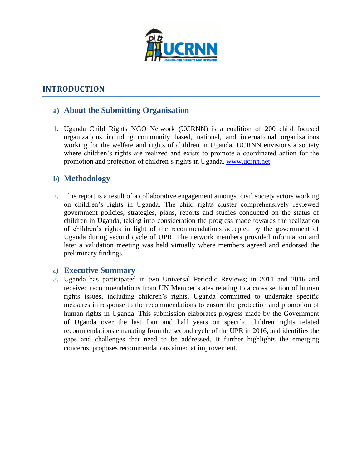

# **INTRODUCTION**

## **a) About the Submitting Organisation**

1. Uganda Child Rights NGO Network (UCRNN) is a coalition of 200 child focused organizations including community based, national, and international organizations working for the welfare and rights of children in Uganda. UCRNN envisions a society where children's rights are realized and exists to promote a coordinated action for the promotion and protection of children's rights in Uganda. [www.ucrnn.net](http://www.ucrnn.net/)

## **b) Methodology**

2. This report is a result of a collaborative engagement amongst civil society actors working on children's rights in Uganda. The child rights cluster comprehensively reviewed government policies, strategies, plans, reports and studies conducted on the status of children in Uganda, taking into consideration the progress made towards the realization of children's rights in light of the recommendations accepted by the government of Uganda during second cycle of UPR. The network members provided information and later a validation meeting was held virtually where members agreed and endorsed the preliminary findings.

#### *c)* **Executive Summary**

3. Uganda has participated in two Universal Periodic Reviews; in 2011 and 2016 and received recommendations from UN Member states relating to a cross section of human rights issues, including children's rights. Uganda committed to undertake specific measures in response to the recommendations to ensure the protection and promotion of human rights in Uganda. This submission elaborates progress made by the Government of Uganda over the last four and half years on specific children rights related recommendations emanating from the second cycle of the UPR in 2016, and identifies the gaps and challenges that need to be addressed. It further highlights the emerging concerns, proposes recommendations aimed at improvement.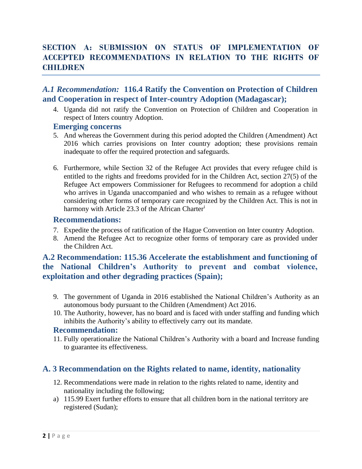# **SECTION A: SUBMISSION ON STATUS OF IMPLEMENTATION OF ACCEPTED RECOMMENDATIONS IN RELATION TO THE RIGHTS OF CHILDREN**

## *A.1 Recommendation:* **116.4 Ratify the Convention on Protection of Children and Cooperation in respect of Inter-country Adoption (Madagascar);**

4. Uganda did not ratify the Convention on Protection of Children and Cooperation in respect of Inters country Adoption.

#### **Emerging concerns**

- 5. And whereas the Government during this period adopted the Children (Amendment) Act 2016 which carries provisions on Inter country adoption; these provisions remain inadequate to offer the required protection and safeguards.
- 6. Furthermore, while Section 32 of the Refugee Act provides that every refugee child is entitled to the rights and freedoms provided for in the Children Act, section 27(5) of the Refugee Act empowers Commissioner for Refugees to recommend for adoption a child who arrives in Uganda unaccompanied and who wishes to remain as a refugee without considering other forms of temporary care recognized by the Children Act. This is not in harmony with Article 23.3 of the African Charter<sup>i</sup>

#### **Recommendations:**

- 7. Expedite the process of ratification of the Hague Convention on Inter country Adoption.
- 8. Amend the Refugee Act to recognize other forms of temporary care as provided under the Children Act.

## **A.2 Recommendation: 115.36 Accelerate the establishment and functioning of the National Children's Authority to prevent and combat violence, exploitation and other degrading practices (Spain);**

- 9. The government of Uganda in 2016 established the National Children's Authority as an autonomous body pursuant to the Children (Amendment) Act 2016.
- 10. The Authority, however, has no board and is faced with under staffing and funding which inhibits the Authority's ability to effectively carry out its mandate.

#### **Recommendation:**

11. Fully operationalize the National Children's Authority with a board and Increase funding to guarantee its effectiveness.

## **A. 3 Recommendation on the Rights related to name, identity, nationality**

- 12. Recommendations were made in relation to the rights related to name, identity and nationality including the following;
- a) 115.99 Exert further efforts to ensure that all children born in the national territory are registered (Sudan);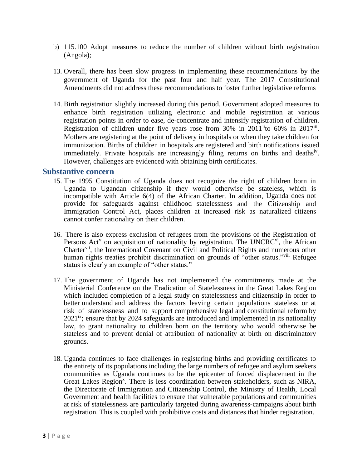- b) 115.100 Adopt measures to reduce the number of children without birth registration (Angola);
- 13. Overall, there has been slow progress in implementing these recommendations by the government of Uganda for the past four and half year. The 2017 Constitutional Amendments did not address these recommendations to foster further legislative reforms
- 14. Birth registration slightly increased during this period. Government adopted measures to enhance birth registration utilizing electronic and mobile registration at various registration points in order to ease, de-concentrate and intensify registration of children. Registration of children under five years rose from  $30\%$  in  $2011$ <sup>ii</sup>to  $60\%$  in  $2017$ <sup>iii</sup>. Mothers are registering at the point of delivery in hospitals or when they take children for immunization. Births of children in hospitals are registered and birth notifications issued immediately. Private hospitals are increasingly filing returns on births and deathsiv. However, challenges are evidenced with obtaining birth certificates.

#### **Substantive concern**

- 15. The 1995 Constitution of Uganda does not recognize the right of children born in Uganda to Ugandan citizenship if they would otherwise be stateless, which is incompatible with Article 6(4) of the African Charter. In addition, Uganda does not provide for safeguards against childhood statelessness and the Citizenship and Immigration Control Act, places children at increased risk as naturalized citizens cannot confer nationality on their children.
- 16. There is also express exclusion of refugees from the provisions of the Registration of Persons Act<sup>v</sup> on acquisition of nationality by registration. The UNCRC<sup>vi</sup>, the African Charter<sup>vii</sup>, the International Covenant on Civil and Political Rights and numerous other human rights treaties prohibit discrimination on grounds of "other status."<sup>viii</sup> Refugee status is clearly an example of "other status."
- 17. The government of Uganda has not implemented the commitments made at the Ministerial Conference on the Eradication of Statelessness in the Great Lakes Region which included completion of a legal study on statelessness and citizenship in order to better understand and address the factors leaving certain populations stateless or at risk of statelessness and to support comprehensive legal and constitutional reform by  $2021<sup>ix</sup>$ ; ensure that by 2024 safeguards are introduced and implemented in its nationality law, to grant nationality to children born on the territory who would otherwise be stateless and to prevent denial of attribution of nationality at birth on discriminatory grounds.
- 18. Uganda continues to face challenges in registering births and providing certificates to the entirety of its populations including the large numbers of refugee and asylum seekers communities as Uganda continues to be the epicenter of forced displacement in the Great Lakes Region<sup>x</sup>. There is less coordination between stakeholders, such as NIRA, the Directorate of Immigration and Citizenship Control, the Ministry of Health, Local Government and health facilities to ensure that vulnerable populations and communities at risk of statelessness are particularly targeted during awareness-campaigns about birth registration. This is coupled with prohibitive costs and distances that hinder registration.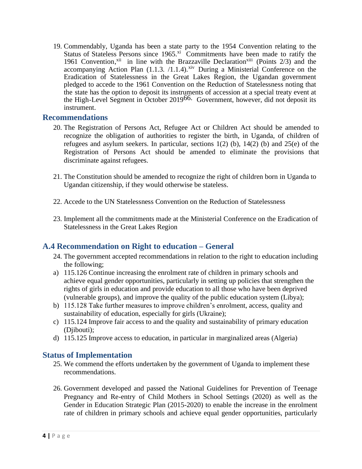19. Commendably, Uganda has been a state party to the 1954 Convention relating to the Status of Stateless Persons since 1965.<sup>xi</sup> Commitments have been made to ratify the 1961 Convention,<sup>xii</sup> in line with the Brazzaville Declaration<sup>xiii</sup> (Points 2/3) and the accompanying Action Plan  $(1.1.3. /1.1.4).$ <sup>xiv</sup> During a Ministerial Conference on the Eradication of Statelessness in the Great Lakes Region, the Ugandan government pledged to accede to the 1961 Convention on the Reduction of Statelessness noting that the state has the option to deposit its instruments of accession at a special treaty event at the High-Level Segment in October 2019 66. Government, however, did not deposit its instrument.

#### **Recommendations**

- 20. The Registration of Persons Act, Refugee Act or Children Act should be amended to recognize the obligation of authorities to register the birth, in Uganda, of children of refugees and asylum seekers. In particular, sections  $1(2)$  (b),  $14(2)$  (b) and  $25(e)$  of the Registration of Persons Act should be amended to eliminate the provisions that discriminate against refugees.
- 21. The Constitution should be amended to recognize the right of children born in Uganda to Ugandan citizenship, if they would otherwise be stateless.
- 22. Accede to the UN Statelessness Convention on the Reduction of Statelessness
- 23. Implement all the commitments made at the Ministerial Conference on the Eradication of Statelessness in the Great Lakes Region

## **A.4 Recommendation on Right to education – General**

- 24. The government accepted recommendations in relation to the right to education including the following;
- a) 115.126 Continue increasing the enrolment rate of children in primary schools and achieve equal gender opportunities, particularly in setting up policies that strengthen the rights of girls in education and provide education to all those who have been deprived (vulnerable groups), and improve the quality of the public education system (Libya);
- b) 115.128 Take further measures to improve children's enrolment, access, quality and sustainability of education, especially for girls (Ukraine);
- c) 115.124 Improve fair access to and the quality and sustainability of primary education (Diibouti):
- d) 115.125 Improve access to education, in particular in marginalized areas (Algeria)

## **Status of Implementation**

- 25. We commend the efforts undertaken by the government of Uganda to implement these recommendations.
- 26. Government developed and passed the National Guidelines for Prevention of Teenage Pregnancy and Re-entry of Child Mothers in School Settings (2020) as well as the Gender in Education Strategic Plan (2015-2020) to enable the increase in the enrolment rate of children in primary schools and achieve equal gender opportunities, particularly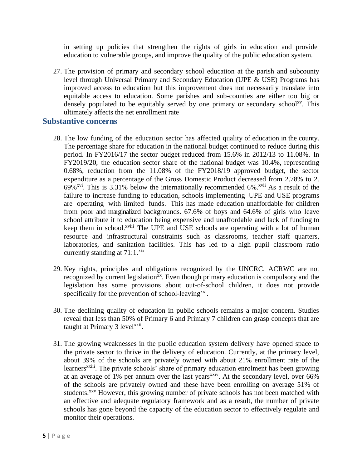in setting up policies that strengthen the rights of girls in education and provide education to vulnerable groups, and improve the quality of the public education system.

27. The provision of primary and secondary school education at the parish and subcounty level through Universal Primary and Secondary Education (UPE & USE) Programs has improved access to education but this improvement does not necessarily translate into equitable access to education. Some parishes and sub-counties are either too big or densely populated to be equitably served by one primary or secondary school<sup>xv</sup>. This ultimately affects the net enrollment rate

### **Substantive concerns**

- 28. The low funding of the education sector has affected quality of education in the county. The percentage share for education in the national budget continued to reduce during this period. In FY2016/17 the sector budget reduced from 15.6% in 2012/13 to 11.08%. In FY2019/20, the education sector share of the national budget was 10.4%, representing 0.68%, reduction from the 11.08% of the FY2018/19 approved budget, the sector expenditure as a percentage of the Gross Domestic Product decreased from 2.78% to 2. 69%<sup>xvi</sup>. This is 3.31% below the internationally recommended 6%.<sup>xvii</sup> As a result of the failure to increase funding to education, schools implementing UPE and USE programs are operating with limited funds. This has made education unaffordable for children from poor and marginalized backgrounds. 67.6% of boys and 64.6% of girls who leave school attribute it to education being expensive and unaffordable and lack of funding to keep them in school.<sup>xviii</sup> The UPE and USE schools are operating with a lot of human resource and infrastructural constraints such as classrooms, teacher staff quarters, laboratories, and sanitation facilities. This has led to a high pupil classroom ratio currently standing at  $71:1.^{\text{six}}$
- 29. Key rights, principles and obligations recognized by the UNCRC, ACRWC are not recognized by current legislation<sup>xx</sup>. Even though primary education is compulsory and the legislation has some provisions about out-of-school children, it does not provide specifically for the prevention of school-leaving<sup>xxi</sup>.
- 30. The declining quality of education in public schools remains a major concern. Studies reveal that less than 50% of Primary 6 and Primary 7 children can grasp concepts that are taught at Primary 3 level<sup>xxii</sup>.
- 31. The growing weaknesses in the public education system delivery have opened space to the private sector to thrive in the delivery of education. Currently, at the primary level, about 39% of the schools are privately owned with about 21% enrollment rate of the learners<sup>xxiii</sup>. The private schools' share of primary education enrolment has been growing at an average of 1% per annum over the last years<sup>xxiv</sup>. At the secondary level, over  $66\%$ of the schools are privately owned and these have been enrolling on average 51% of students.<sup>xxv</sup> However, this growing number of private schools has not been matched with an effective and adequate regulatory framework and as a result, the number of private schools has gone beyond the capacity of the education sector to effectively regulate and monitor their operations.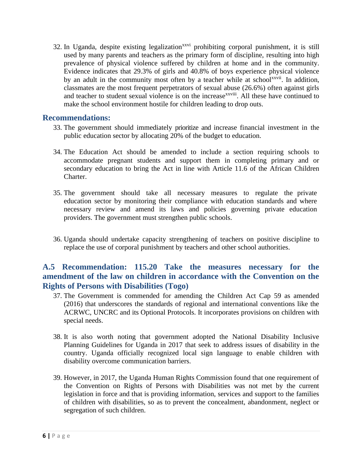32. In Uganda, despite existing legalization<sup>xxvi</sup> prohibiting corporal punishment, it is still used by many parents and teachers as the primary form of discipline, resulting into high prevalence of physical violence suffered by children at home and in the community. Evidence indicates that 29.3% of girls and 40.8% of boys experience physical violence by an adult in the community most often by a teacher while at school<sup>xxvii</sup>. In addition, classmates are the most frequent perpetrators of sexual abuse (26.6%) often against girls and teacher to student sexual violence is on the increase<sup>xxviii</sup>. All these have continued to make the school environment hostile for children leading to drop outs.

#### **Recommendations:**

- 33. The government should immediately prioritize and increase financial investment in the public education sector by allocating 20% of the budget to education.
- 34. The Education Act should be amended to include a section requiring schools to accommodate pregnant students and support them in completing primary and or secondary education to bring the Act in line with Article 11.6 of the African Children Charter.
- 35. The government should take all necessary measures to regulate the private education sector by monitoring their compliance with education standards and where necessary review and amend its laws and policies governing private education providers. The government must strengthen public schools.
- 36. Uganda should undertake capacity strengthening of teachers on positive discipline to replace the use of corporal punishment by teachers and other school authorities.

## **A.5 Recommendation: 115.20 Take the measures necessary for the amendment of the law on children in accordance with the Convention on the Rights of Persons with Disabilities (Togo)**

- 37. The Government is commended for amending the Children Act Cap 59 as amended (2016) that underscores the standards of regional and international conventions like the ACRWC, UNCRC and its Optional Protocols. It incorporates provisions on children with special needs.
- 38. It is also worth noting that government adopted the National Disability Inclusive Planning Guidelines for Uganda in 2017 that seek to address issues of disability in the country. Uganda officially recognized local sign language to enable children with disability overcome communication barriers.
- 39. However, in 2017, the Uganda Human Rights Commission found that one requirement of the Convention on Rights of Persons with Disabilities was not met by the current legislation in force and that is providing information, services and support to the families of children with disabilities, so as to prevent the concealment, abandonment, neglect or segregation of such children.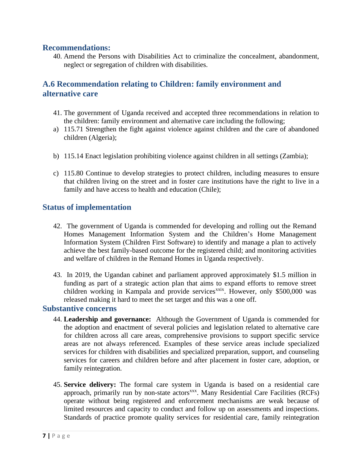### **Recommendations:**

40. Amend the Persons with Disabilities Act to criminalize the concealment, abandonment, neglect or segregation of children with disabilities.

# **A.6 Recommendation relating to Children: family environment and alternative care**

- 41. The government of Uganda received and accepted three recommendations in relation to the children: family environment and alternative care including the following;
- a) 115.71 Strengthen the fight against violence against children and the care of abandoned children (Algeria);
- b) 115.14 Enact legislation prohibiting violence against children in all settings (Zambia);
- c) 115.80 Continue to develop strategies to protect children, including measures to ensure that children living on the street and in foster care institutions have the right to live in a family and have access to health and education (Chile);

## **Status of implementation**

- 42. The government of Uganda is commended for developing and rolling out the Remand Homes Management Information System and the Children's Home Management Information System (Children First Software) to identify and manage a plan to actively achieve the best family-based outcome for the registered child; and monitoring activities and welfare of children in the Remand Homes in Uganda respectively.
- 43. In 2019, the Ugandan cabinet and parliament approved approximately \$1.5 million in funding as part of a strategic action plan that aims to expand efforts to remove street children working in Kampala and provide services<sup>xxix</sup>. However, only \$500,000 was released making it hard to meet the set target and this was a one off.

## **Substantive concerns**

- 44. **Leadership and governance:** Although the Government of Uganda is commended for the adoption and enactment of several policies and legislation related to alternative care for children across all care areas, comprehensive provisions to support specific service areas are not always referenced. Examples of these service areas include specialized services for children with disabilities and specialized preparation, support, and counseling services for careers and children before and after placement in foster care, adoption, or family reintegration.
- 45. **Service delivery:** The formal care system in Uganda is based on a residential care approach, primarily run by non-state actors<sup>xxx</sup>. Many Residential Care Facilities (RCFs) operate without being registered and enforcement mechanisms are weak because of limited resources and capacity to conduct and follow up on assessments and inspections. Standards of practice promote quality services for residential care, family reintegration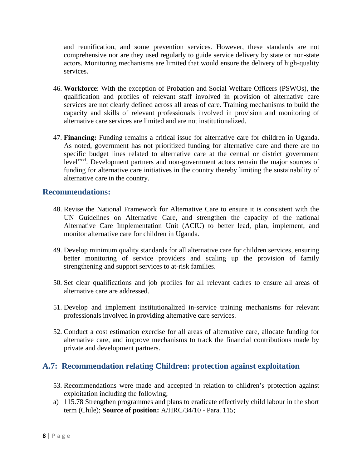and reunification, and some prevention services. However, these standards are not comprehensive nor are they used regularly to guide service delivery by state or non-state actors. Monitoring mechanisms are limited that would ensure the delivery of high-quality services.

- 46. **Workforce**: With the exception of Probation and Social Welfare Officers (PSWOs), the qualification and profiles of relevant staff involved in provision of alternative care services are not clearly defined across all areas of care. Training mechanisms to build the capacity and skills of relevant professionals involved in provision and monitoring of alternative care services are limited and are not institutionalized.
- 47. **Financing:** Funding remains a critical issue for alternative care for children in Uganda. As noted, government has not prioritized funding for alternative care and there are no specific budget lines related to alternative care at the central or district government level<sup>xxxi</sup>. Development partners and non-government actors remain the major sources of funding for alternative care initiatives in the country thereby limiting the sustainability of alternative care in the country.

### **Recommendations:**

- 48. Revise the National Framework for Alternative Care to ensure it is consistent with the UN Guidelines on Alternative Care, and strengthen the capacity of the national Alternative Care Implementation Unit (ACIU) to better lead, plan, implement, and monitor alternative care for children in Uganda.
- 49. Develop minimum quality standards for all alternative care for children services, ensuring better monitoring of service providers and scaling up the provision of family strengthening and support services to at-risk families.
- 50. Set clear qualifications and job profiles for all relevant cadres to ensure all areas of alternative care are addressed.
- 51. Develop and implement institutionalized in-service training mechanisms for relevant professionals involved in providing alternative care services.
- 52. Conduct a cost estimation exercise for all areas of alternative care, allocate funding for alternative care, and improve mechanisms to track the financial contributions made by private and development partners.

## **A.7: Recommendation relating Children: protection against exploitation**

- 53. Recommendations were made and accepted in relation to children's protection against exploitation including the following;
- a) 115.78 Strengthen programmes and plans to eradicate effectively child labour in the short term (Chile); **Source of position:** A/HRC/34/10 - Para. 115;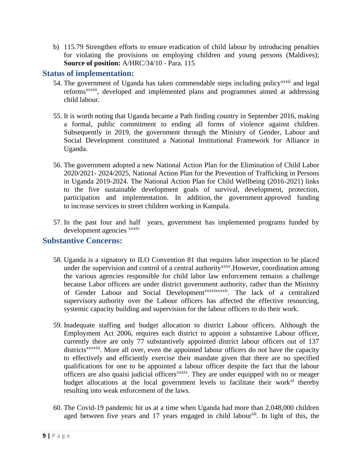b) 115.79 Strengthen efforts to ensure eradication of child labour by introducing penalties for violating the provisions on employing children and young persons (Maldives); **Source of position:** A/HRC/34/10 - Para. 115

### **Status of implementation:**

- 54. The government of Uganda has taken commendable steps including policy<sup>xxxii</sup> and legal reforms<sup>xxxiii</sup>, developed and implemented plans and programmes aimed at addressing child labour.
- 55. It is worth noting that Uganda became a Path finding country in September 2016, making a formal, public commitment to ending all forms of violence against children. Subsequently in 2019, the government through the Ministry of Gender, Labour and Social Development constituted a National Institutional Framework for Alliance in Uganda.
- 56. The government adopted a new National Action Plan for the Elimination of Child Labor 2020/2021- 2024/2025, National Action Plan for the Prevention of Trafficking in Persons in Uganda 2019-2024. The National Action Plan for Child Wellbeing (2016-2021) links to the five sustainable development goals of survival, development, protection, participation and implementation. In addition, the government approved funding to increase services to street children working in Kampala.
- 57. In the past four and half years, government has implemented programs funded by development agencies xxxiv

## **Substantive Concerns:**

- 58. Uganda is a signatory to ILO Convention 81 that requires labor inspection to be placed under the supervision and control of a central authority<sup>xxxv</sup>. However, coordination among the various agencies responsible for child labor law enforcement remains a challenge because Labor officers are under district government authority, rather than the Ministry of Gender Labour and Social Development<sup>xxxvixxxvii</sup>. The lack of a centralized supervisory authority over the Labour officers has affected the effective resourcing, systemic capacity building and supervision for the labour officers to do their work.
- 59. Inadequate staffing and budget allocation to district Labour officers. Although the Employment Act 2006, requires each district to appoint a substantive Labour officer, currently there are only 77 substantively appointed district labour officers out of 137 districts<sup>xxxviii</sup>. More all over, even the appointed labour officers do not have the capacity to effectively and efficiently exercise their mandate given that there are no specified qualifications for one to be appointed a labour officer despite the fact that the labour officers are also quaisi judicial officers<sup>xxxix</sup>. They are under equipped with no or meager budget allocations at the local government levels to facilitate their work<sup>xl</sup> thereby resulting into weak enforcement of the laws.
- 60. The Covid-19 pandemic hit us at a time when Uganda had more than 2,048,000 children aged between five years and 17 years engaged in child labour<sup>xli</sup>. In light of this, the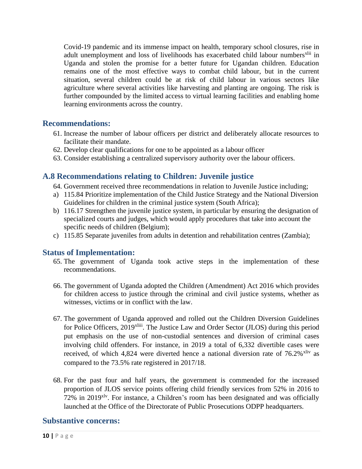Covid-19 pandemic and its immense impact on health, temporary school closures, rise in adult unemployment and loss of livelihoods has exacerbated child labour numbers<sup>xlii</sup> in Uganda and stolen the promise for a better future for Ugandan children. Education remains one of the most effective ways to combat child labour, but in the current situation, several children could be at risk of child labour in various sectors like agriculture where several activities like harvesting and planting are ongoing. The risk is further compounded by the limited access to virtual learning facilities and enabling home learning environments across the country.

### **Recommendations:**

- 61. Increase the number of labour officers per district and deliberately allocate resources to facilitate their mandate.
- 62. Develop clear qualifications for one to be appointed as a labour officer
- 63. Consider establishing a centralized supervisory authority over the labour officers.

## **A.8 Recommendations relating to Children: Juvenile justice**

- 64. Government received three recommendations in relation to Juvenile Justice including;
- a) 115.84 Prioritize implementation of the Child Justice Strategy and the National Diversion Guidelines for children in the criminal justice system (South Africa);
- b) 116.17 Strengthen the juvenile justice system, in particular by ensuring the designation of specialized courts and judges, which would apply procedures that take into account the specific needs of children (Belgium);
- c) 115.85 Separate juveniles from adults in detention and rehabilitation centres (Zambia);

## **Status of Implementation:**

- 65. The government of Uganda took active steps in the implementation of these recommendations.
- 66. The government of Uganda adopted the Children (Amendment) Act 2016 which provides for children access to justice through the criminal and civil justice systems, whether as witnesses, victims or in conflict with the law.
- 67. The government of Uganda approved and rolled out the Children Diversion Guidelines for Police Officers, 2019<sup>xliii</sup>. The Justice Law and Order Sector (JLOS) during this period put emphasis on the use of non-custodial sentences and diversion of criminal cases involving child offenders. For instance, in 2019 a total of 6,332 divertible cases were received, of which 4,824 were diverted hence a national diversion rate of  $76.2\%$ <sup>xliv</sup> as compared to the 73.5% rate registered in 2017/18.
- 68. For the past four and half years, the government is commended for the increased proportion of JLOS service points offering child friendly services from 52% in 2016 to 72% in 2019<sup>xlv</sup>. For instance, a Children's room has been designated and was officially launched at the Office of the Directorate of Public Prosecutions ODPP headquarters.

#### **Substantive concerns:**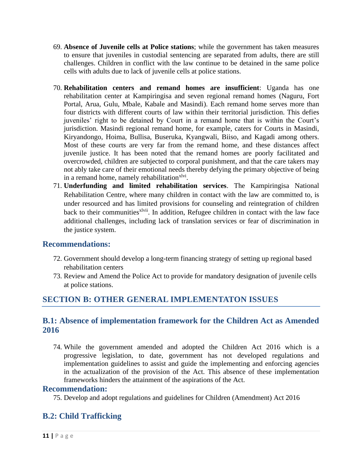- 69. **Absence of Juvenile cells at Police stations**; while the government has taken measures to ensure that juveniles in custodial sentencing are separated from adults, there are still challenges. Children in conflict with the law continue to be detained in the same police cells with adults due to lack of juvenile cells at police stations.
- 70. **Rehabilitation centers and remand homes are insufficient**: Uganda has one rehabilitation center at Kampiringisa and seven regional remand homes (Naguru, Fort Portal, Arua, Gulu, Mbale, Kabale and Masindi). Each remand home serves more than four districts with different courts of law within their territorial jurisdiction. This defies juveniles' right to be detained by Court in a remand home that is within the Court's jurisdiction. Masindi regional remand home, for example, caters for Courts in Masindi, Kiryandongo, Hoima, Bullisa, Buseruka, Kyangwali, Biiso, and Kagadi among others. Most of these courts are very far from the remand home, and these distances affect juvenile justice. It has been noted that the remand homes are poorly facilitated and overcrowded, children are subjected to corporal punishment, and that the care takers may not ably take care of their emotional needs thereby defying the primary objective of being in a remand home, namely rehabilitation<sup>xlvi</sup>.
- 71. **Underfunding and limited rehabilitation services**. The Kampiringisa National Rehabilitation Centre, where many children in contact with the law are committed to, is under resourced and has limited provisions for counseling and reintegration of children back to their communities<sup>xlvii</sup>. In addition, Refugee children in contact with the law face additional challenges, including lack of translation services or fear of discrimination in the justice system.

## **Recommendations:**

- 72. Government should develop a long-term financing strategy of setting up regional based rehabilitation centers
- 73. Review and Amend the Police Act to provide for mandatory designation of juvenile cells at police stations.

# **SECTION B: OTHER GENERAL IMPLEMENTATON ISSUES**

## **B.1: Absence of implementation framework for the Children Act as Amended 2016**

74. While the government amended and adopted the Children Act 2016 which is a progressive legislation, to date, government has not developed regulations and implementation guidelines to assist and guide the implementing and enforcing agencies in the actualization of the provision of the Act. This absence of these implementation frameworks hinders the attainment of the aspirations of the Act.

#### **Recommendation:**

75. Develop and adopt regulations and guidelines for Children (Amendment) Act 2016

## **B.2: Child Trafficking**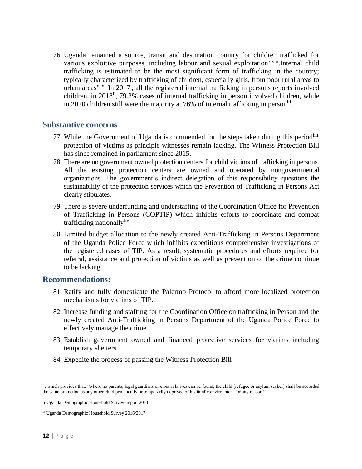76. Uganda remained a source, transit and destination country for children trafficked for various exploitive purposes, including labour and sexual exploitation<sup>xlviii</sup>.Internal child trafficking is estimated to be the most significant form of trafficking in the country; typically characterized by trafficking of children, especially girls, from poor rural areas to urban areas<sup>xlix</sup>. In 2017<sup>1</sup>, all the registered internal trafficking in persons reports involved children, in 2018<sup>li</sup>, 79.3% cases of internal trafficking in person involved children, while in 2020 children still were the majority at 76% of internal trafficking in person<sup>lii</sup>.

### **Substantive concerns**

- 77. While the Government of Uganda is commended for the steps taken during this period<sup>liii.</sup> protection of victims as principle witnesses remain lacking. The Witness Protection Bill has since remained in parliament since 2015.
- 78. There are no government owned protection centers for child victims of trafficking in persons. All the existing protection centers are owned and operated by nongovernmental organizations. The government's indirect delegation of this responsibility questions the sustainability of the protection services which the Prevention of Trafficking in Persons Act clearly stipulates.
- 79. There is severe underfunding and understaffing of the Coordination Office for Prevention of Trafficking in Persons (COPTIP) which inhibits efforts to coordinate and combat trafficking nationally<sup>liv</sup>;
- 80. Limited budget allocation to the newly created Anti-Trafficking in Persons Department of the Uganda Police Force which inhibits expeditious comprehensive investigations of the registered cases of TIP. As a result, systematic procedures and efforts required for referral, assistance and protection of victims as well as prevention of the crime continue to be lacking.

## **Recommendations:**

- 81. Ratify and fully domesticate the Palermo Protocol to afford more localized protection mechanisms for victims of TIP.
- 82. Increase funding and staffing for the Coordination Office on trafficking in Person and the newly created Anti-Trafficking in Persons Department of the Uganda Police Force to effectively manage the crime.
- 83. Establish government owned and financed protective services for victims including temporary shelters.
- 84. Expedite the process of passing the Witness Protection Bill

i , which provides that: "where no parents, legal guardians or close relatives can be found, the child [refugee or asylum seeker] shall be accorded the same protection as any other child pemanently or temporarily deprived of his family environment for any reason."

ii Uganda Demographic Household Survey report 2011

iii Uganda Demographic Household Survey 2016/2017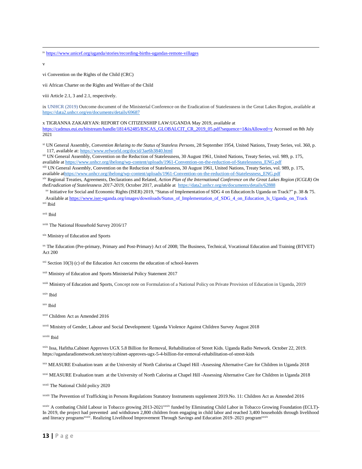v

vi Convention on the Rights of the Child (CRC)

vii African Charter on the Rights and Welfare of the Child

viii Article 2.1, 3 and 2.1, respectively.

ix UNHCR (2019) Outcome document of the Ministerial Conference on the Eradication of Statelessness in the Great Lakes Region, available at <https://data2.unhcr.org/en/documents/details/69687>

x TIGRANNA ZAKARYAN: REPORT ON CITIZENSHIP LAW:UGANDA May 2019, available at

[https://cadmus.eui.eu/bitstream/handle/1814/62485/RSCAS\\_GLOBALCIT\\_CR\\_2019\\_05.pdf?sequence=1&isAllowed=y](https://cadmus.eui.eu/bitstream/handle/1814/62485/RSCAS_GLOBALCIT_CR_2019_05.pdf?sequence=1&isAllowed=y) Accessed on 8th July 2021

xi UN General Assembly, *Convention Relating to the Status of Stateless Persons*, 28 September 1954, United Nations, Treaty Series, vol. 360, p. 117, available at[: https://www.refworld.org/docid/3ae6b3840.html](https://www.refworld.org/docid/3ae6b3840.html)

xii UN General Assembly, Convention on the Reduction of Statelessness, 30 August 1961, United Nations, Treaty Series, vol. 989, p. 175, available a[t https://www.unhcr.org/ibelong/wp-content/uploads/1961-Convention-on-the-reduction-of-Statelessness\\_ENG.pdf](https://www.unhcr.org/ibelong/wp-content/uploads/1961-Convention-on-the-reduction-of-Statelessness_ENG.pdf)

xiii UN General Assembly, Convention on the Reduction of Statelessness, 30 August 1961, United Nations, Treaty Series, vol. 989, p. 175, available [athttps://www.unhcr.org/ibelong/wp-content/uploads/1961-Convention-on-the-reduction-of-Statelessness\\_ENG.pdf](https://www.unhcr.org/ibelong/wp-content/uploads/1961-Convention-on-the-reduction-of-Statelessness_ENG.pdf)

xiv Regional Treaties, Agreements, Declarations and Related, Action Plan of the International Conference on the Great Lakes Region (ICGLR) On *theEradication of Statelessness 2017-2019*, October 2017, available at <https://data2.unhcr.org/en/documents/details/62888>

xv Initiative for Social and Economic Rights (ISER) 2019, "Status of Implementation of SDG 4 on Education:Is Uganda on Track?" p. 38 & 75. Available at [https://www.iser-uganda.org/images/downloads/Status\\_of\\_Implementation\\_of\\_SDG\\_4\\_on\\_Education\\_Is\\_Uganda\\_on\\_Track](https://www.iser-uganda.org/images/downloads/Status_of_Implementation_of_SDG_4_on_Education_Is_Uganda_on_Track.pdf) xvi Ibid

xvii Ibid

xviii The National Household Survey 2016/17

xix Ministry of Education and Sports

xx The Education (Pre-primary, Primary and Post-Primary) Act of 2008; The Business, Technical, Vocational Education and Training (BTVET) Act 200

 $xxi$  Section 10(3) (c) of the Education Act concerns the education of school-leavers

xxii Ministry of Education and Sports Ministerial Policy Statement 2017

xxiii Ministry of Education and Sports, Concept note on Formulation of a National Policy on Private Provision of Education in Uganda, 2019

xxiv Ibid

xxv Ibid

xxvi Children Act as Amended 2016

xxvii Ministry of Gender, Labour and Social Development: Uganda Violence Against Children Survey August 2018

xxviii Ibid

xxix Issa, Hafitha.Cabinet Approves UGX 5.8 Billion for Removal, Rehabilitation of Street Kids. Uganda Radio Network. October 22, 2019. https://ugandaradionetwork.net/story/cabinet-approves-ugx-5-4-billion-for-removal-rehabilitation-of-street-kids

xxx MEASURE Evaluation team at the University of North Calorina at Chapel Hill -Assessing Alternative Care for Children in Uganda 2018

xxxi MEASURE Evaluation team at the University of North Calorina at Chapel Hill -Assessing Alternative Care for Children in Uganda 2018

xxxii The National Child policy 2020

xxxiii The Prevention of Trafficking in Persons Regulations Statutory Instruments supplement 2019.No. 11: Children Act as Amended 2016

xxxiv A combating Child Labour in Tobacco growing 2013-2021<sup>xxxiv</sup> funded by Eliminating Child Labor in Tobacco Growing Foundation (ECLT)-In 2019, the project had prevented and withdrawn 2,800 children from engaging in child labor and reached 3,400 households through livelihood and literacy programs<sup>xxxiv</sup>. Realizing Livelihood Improvement Through Savings and Education 2019–2021 program<sup>xxxiv</sup>

iv <https://www.unicef.org/uganda/stories/recording-births-ugandas-remote-villages>